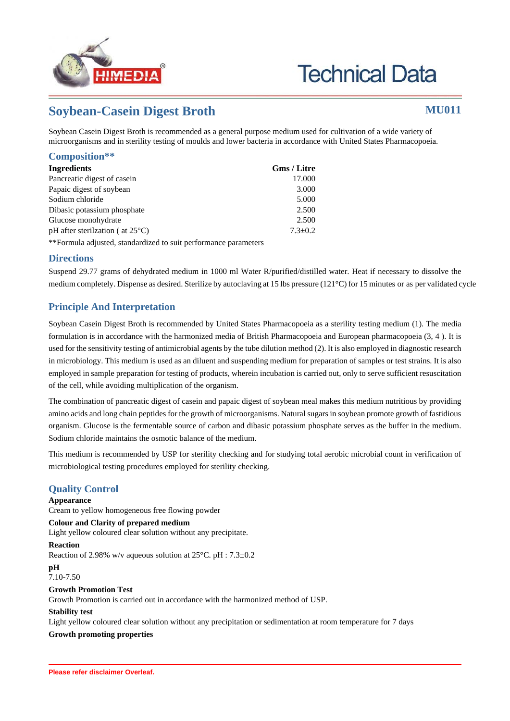

# **Technical Data**

## **Soybean-Casein Digest Broth MU011**

Soybean Casein Digest Broth is recommended as a general purpose medium used for cultivation of a wide variety of microorganisms and in sterility testing of moulds and lower bacteria in accordance with United States Pharmacopoeia.

#### **Composition\*\***

| Ingredients                                 | Gms / Litre   |  |
|---------------------------------------------|---------------|--|
| Pancreatic digest of casein                 | 17.000        |  |
| Papaic digest of soybean                    | 3.000         |  |
| Sodium chloride                             | 5.000         |  |
| Dibasic potassium phosphate                 | 2.500         |  |
| Glucose monohydrate                         | 2.500         |  |
| pH after sterilization ( $at 25^{\circ}$ C) | $7.3 \pm 0.2$ |  |
|                                             |               |  |

\*\*Formula adjusted, standardized to suit performance parameters

#### **Directions**

Suspend 29.77 grams of dehydrated medium in 1000 ml Water R/purified/distilled water. Heat if necessary to dissolve the medium completely. Dispense as desired. Sterilize by autoclaving at 15 lbs pressure (121°C) for 15 minutes or as per validated cycle

### **Principle And Interpretation**

Soybean Casein Digest Broth is recommended by United States Pharmacopoeia as a sterility testing medium (1). The media formulation is in accordance with the harmonized media of British Pharmacopoeia and European pharmacopoeia (3, 4 ). It is used for the sensitivity testing of antimicrobial agents by the tube dilution method (2). It is also employed in diagnostic research in microbiology. This medium is used as an diluent and suspending medium for preparation of samples or test strains. It is also employed in sample preparation for testing of products, wherein incubation is carried out, only to serve sufficient resuscitation of the cell, while avoiding multiplication of the organism.

The combination of pancreatic digest of casein and papaic digest of soybean meal makes this medium nutritious by providing amino acids and long chain peptides for the growth of microorganisms. Natural sugars in soybean promote growth of fastidious organism. Glucose is the fermentable source of carbon and dibasic potassium phosphate serves as the buffer in the medium. Sodium chloride maintains the osmotic balance of the medium.

This medium is recommended by USP for sterility checking and for studying total aerobic microbial count in verification of microbiological testing procedures employed for sterility checking.

### **Quality Control**

#### **Appearance**

Cream to yellow homogeneous free flowing powder

#### **Colour and Clarity of prepared medium**

Light yellow coloured clear solution without any precipitate.

#### **Reaction**

Reaction of 2.98% w/v aqueous solution at 25°C. pH : 7.3±0.2

**pH** 7.10-7.50

#### **Growth Promotion Test**

Growth Promotion is carried out in accordance with the harmonized method of USP.

#### **Stability test**

Light yellow coloured clear solution without any precipitation or sedimentation at room temperature for 7 days

#### **Growth promoting properties**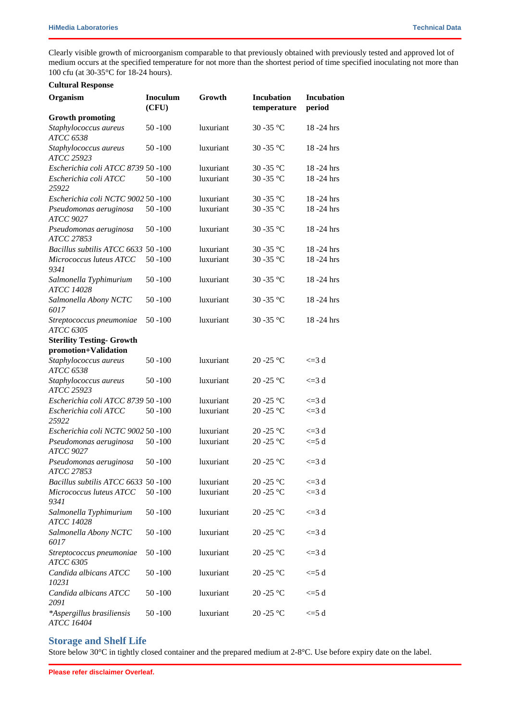Clearly visible growth of microorganism comparable to that previously obtained with previously tested and approved lot of medium occurs at the specified temperature for not more than the shortest period of time specified inoculating not more than 100 cfu (at 30-35°C for 18-24 hours).

|  | <b>Cultural Response</b> |
|--|--------------------------|
|--|--------------------------|

| Organism                                       | <b>Inoculum</b><br>(CFU) | Growth    | <b>Incubation</b><br>temperature | <b>Incubation</b><br>period |
|------------------------------------------------|--------------------------|-----------|----------------------------------|-----------------------------|
| <b>Growth promoting</b>                        |                          |           |                                  |                             |
| Staphylococcus aureus<br><b>ATCC 6538</b>      | $50 - 100$               | luxuriant | 30 - 35 °C                       | 18-24 hrs                   |
| Staphylococcus aureus<br>ATCC 25923            | $50 - 100$               | luxuriant | 30 - 35 °C                       | 18-24 hrs                   |
| Escherichia coli ATCC 8739 50 -100             |                          | luxuriant | 30 - 35 °C                       | $18 - 24$ hrs               |
| Escherichia coli ATCC<br>25922                 | $50 - 100$               | luxuriant | 30-35 °C                         | $18 - 24$ hrs               |
| Escherichia coli NCTC 9002 50 -100             |                          | luxuriant | 30-35 °C                         | 18-24 hrs                   |
| Pseudomonas aeruginosa<br><b>ATCC 9027</b>     | $50 - 100$               | luxuriant | 30-35 °C                         | 18-24 hrs                   |
| Pseudomonas aeruginosa<br>ATCC 27853           | $50 - 100$               | luxuriant | 30 - 35 °C                       | 18-24 hrs                   |
| Bacillus subtilis ATCC 6633                    | $50 - 100$               | luxuriant | 30 - 35 °C                       | 18-24 hrs                   |
| Micrococcus luteus ATCC<br>9341                | $50 - 100$               | luxuriant | 30-35 °C                         | $18 - 24$ hrs               |
| Salmonella Typhimurium<br><b>ATCC 14028</b>    | $50 - 100$               | luxuriant | 30-35 °C                         | 18-24 hrs                   |
| Salmonella Abony NCTC<br>6017                  | $50 - 100$               | luxuriant | 30-35 °C                         | $18 - 24$ hrs               |
| Streptococcus pneumoniae<br><b>ATCC 6305</b>   | $50 - 100$               | luxuriant | 30 - 35 °C                       | 18-24 hrs                   |
| <b>Sterility Testing- Growth</b>               |                          |           |                                  |                             |
| promotion+Validation                           |                          |           |                                  |                             |
| Staphylococcus aureus<br>ATCC 6538             | $50 - 100$               | luxuriant | 20-25 °C                         | $\leq$ = 3 d                |
| Staphylococcus aureus<br>ATCC 25923            | $50 - 100$               | luxuriant | $20 - 25$ °C                     | $\leq$ 3 d                  |
| Escherichia coli ATCC 8739 50 -100             |                          | luxuriant | 20 - $25^{\circ}$ C              | $\leq$ = 3 d                |
| Escherichia coli ATCC<br>25922                 | $50 - 100$               | luxuriant | 20-25 °C                         | $\leq$ 3 d                  |
| Escherichia coli NCTC 9002 50 -100             |                          | luxuriant | 20 - $25^{\circ}$ C              | $\leq$ = 3 d                |
| Pseudomonas aeruginosa<br><b>ATCC 9027</b>     | $50 - 100$               | luxuriant | 20-25 °C                         | $\leq$ =5 d                 |
| Pseudomonas aeruginosa<br>ATCC 27853           | $50 - 100$               | luxuriant | 20 -25 $^{\circ}$ C              | $\leq$ = 3 d                |
| Bacillus subtilis ATCC 6633 50 -100            |                          | luxuriant | $20 - 25$ °C                     | $\leq$ =3 d                 |
| Micrococcus luteus ATCC<br>9341                | $50 - 100$               | luxuriant | 20 - 25 °C                       | $\leq$ 3 d                  |
| Salmonella Typhimurium<br>ATCC 14028           | $50 - 100$               | luxuriant | $20 - 25$ °C                     | $\leq$ 3 d                  |
| Salmonella Abony NCTC<br>6017                  | 50 -100                  | luxuriant | 20 - 25 °C                       | $\leq$ 3 d                  |
| Streptococcus pneumoniae<br><b>ATCC 6305</b>   | $50 - 100$               | luxuriant | $20 - 25$ °C                     | $\leq$ 3 d                  |
| Candida albicans ATCC<br>10231                 | 50 -100                  | luxuriant | 20 - 25 °C                       | $\leq$ =5 d                 |
| Candida albicans ATCC<br>2091                  | 50 -100                  | luxuriant | 20 -25 $^{\circ}$ C              | $\leq$ =5 d                 |
| *Aspergillus brasiliensis<br><b>ATCC 16404</b> | $50 - 100$               | luxuriant | 20 -25 $^{\circ}$ C              | $\leq 5d$                   |

#### **Storage and Shelf Life**

Store below 30°C in tightly closed container and the prepared medium at 2-8°C. Use before expiry date on the label.